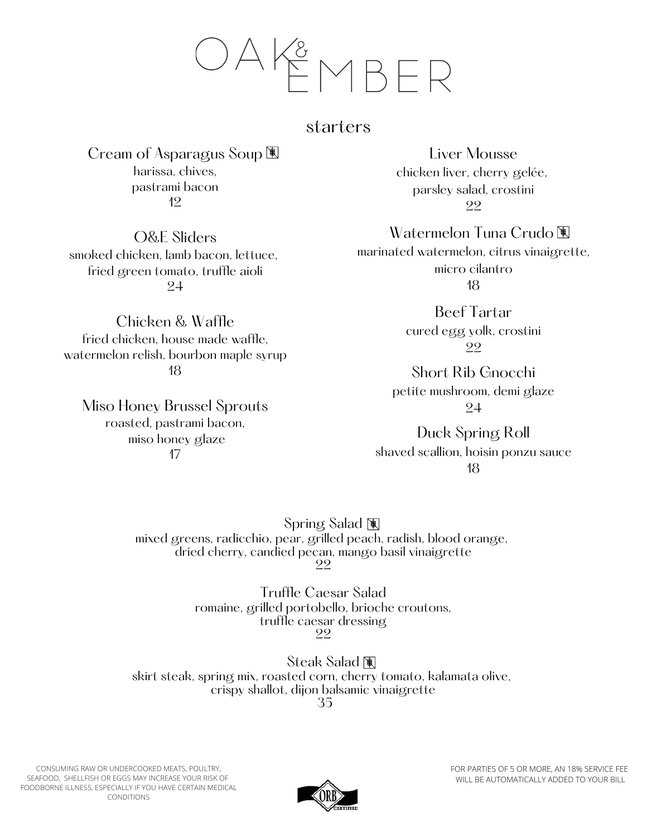# &<br>EMBER

#### starters

Cream of Asparagus Soup harissa, chives, pastrami bacon 12

O&E Sliders smoked chicken, lamb bacon, lettuce, fried green tomato, truffle aioli 24

Chicken & Waffle fried chicken, house made waffle, watermelon relish, bourbon maple syrup 18

Miso Honey Brussel Sprouts roasted, pastrami bacon, miso honey glaze 17

Liver Mousse chicken liver, cherry gelée, parsley salad, crostini 22

Watermelon Tuna Crudo 图

marinated watermelon, citrus vinaigrette, micro cilantro 18

> Beef Tartar cured egg yolk, crostini 22

Short Rib Gnocchi petite mushroom, demi glaze 24

Duck Spring Roll shaved scallion, hoisin ponzu sauce 18

Spring Salad 图 mixed greens, radicchio, pear, grilled peach, radish, blood orange, dried cherry, candied pecan, mango basil vinaigrette 99

> Truffle Caesar Salad romaine, grilled portobello, brioche croutons, truffle caesar dressing 99

Steak Salad 图 skirt steak, spring mix, roasted corn, cherry tomato, kalamata olive, crispy shallot, dijon balsamic vinaigrette 35

CONSUMING RAW OR UNDERCOOKED MEATS, POULTRY, SEAFOOD, SHELLFISH OR EGGS MAY INCREASE YOUR RISK OF FOODBORNE ILLNESS, ESPECIALLY IF YOU HAVE CERTAIN MEDICAL CONDITIONS